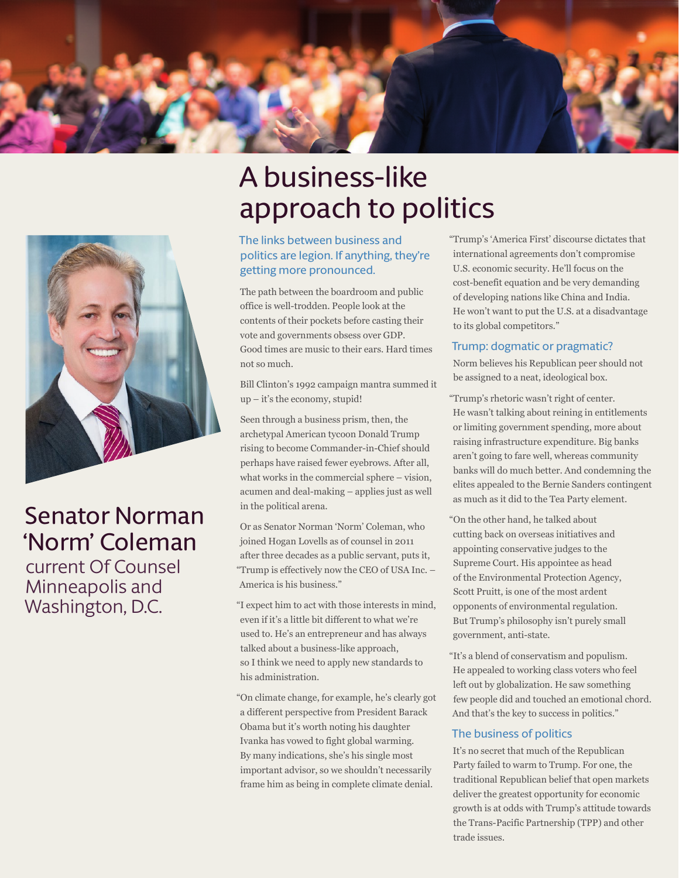

# A business-like approach to politics

### The links between business and politics are legion. If anything, they're getting more pronounced.

The path between the boardroom and public office is well-trodden. People look at the contents of their pockets before casting their vote and governments obsess over GDP. Good times are music to their ears. Hard times not so much.

Bill Clinton's 1992 campaign mantra summed it up – it's the economy, stupid!

Seen through a business prism, then, the archetypal American tycoon Donald Trump rising to become Commander-in-Chief should perhaps have raised fewer eyebrows. After all, what works in the commercial sphere – vision, acumen and deal-making – applies just as well in the political arena.

Or as Senator Norman 'Norm' Coleman, who joined Hogan Lovells as of counsel in 2011 after three decades as a public servant, puts it, "Trump is effectively now the CEO of USA Inc. – America is his business."

"I expect him to act with those interests in mind, even if it's a little bit different to what we're used to. He's an entrepreneur and has always talked about a business-like approach, so I think we need to apply new standards to his administration.

"On climate change, for example, he's clearly got a different perspective from President Barack Obama but it's worth noting his daughter Ivanka has vowed to fight global warming. By many indications, she's his single most important advisor, so we shouldn't necessarily frame him as being in complete climate denial.

"Trump's 'America First' discourse dictates that international agreements don't compromise U.S. economic security. He'll focus on the cost-benefit equation and be very demanding of developing nations like China and India. He won't want to put the U.S. at a disadvantage to its global competitors."

### Trump: dogmatic or pragmatic?

Norm believes his Republican peer should not be assigned to a neat, ideological box.

"Trump's rhetoric wasn't right of center. He wasn't talking about reining in entitlements or limiting government spending, more about raising infrastructure expenditure. Big banks aren't going to fare well, whereas community banks will do much better. And condemning the elites appealed to the Bernie Sanders contingent as much as it did to the Tea Party element.

- "On the other hand, he talked about cutting back on overseas initiatives and appointing conservative judges to the Supreme Court. His appointee as head of the Environmental Protection Agency, Scott Pruitt, is one of the most ardent opponents of environmental regulation. But Trump's philosophy isn't purely small government, anti-state.
- "It's a blend of conservatism and populism. He appealed to working class voters who feel left out by globalization. He saw something few people did and touched an emotional chord. And that's the key to success in politics."

### The business of politics

It's no secret that much of the Republican Party failed to warm to Trump. For one, the traditional Republican belief that open markets deliver the greatest opportunity for economic growth is at odds with Trump's attitude towards the Trans-Pacific Partnership (TPP) and other trade issues.



### Senator Norman 'Norm' Coleman

current Of Counsel Minneapolis and Washington, D.C.